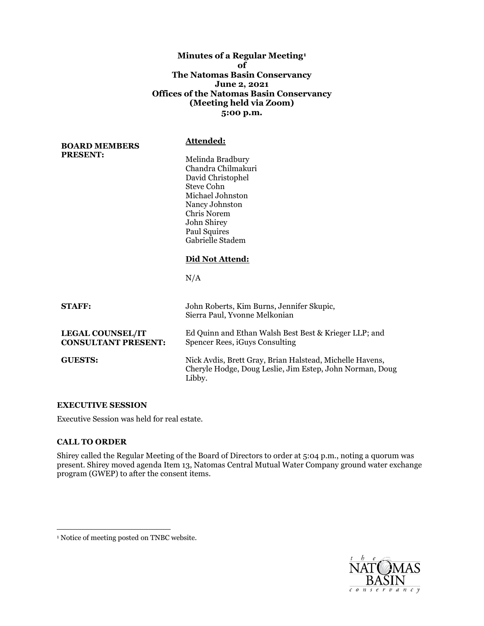# **5:00 p.m. Minutes of a Regular Meeting[1](#page-0-0) of The Natomas Basin Conservancy June 2, 2021 Offices of the Natomas Basin Conservancy (Meeting held via Zoom)**

| <b>BOARD MEMBERS</b>                                  | <u>Attended:</u>                                                                                                                                                                  |
|-------------------------------------------------------|-----------------------------------------------------------------------------------------------------------------------------------------------------------------------------------|
| <b>PRESENT:</b>                                       | Melinda Bradbury<br>Chandra Chilmakuri<br>David Christophel<br>Steve Cohn<br>Michael Johnston<br>Nancy Johnston<br>Chris Norem<br>John Shirey<br>Paul Squires<br>Gabrielle Stadem |
|                                                       | Did Not Attend:                                                                                                                                                                   |
|                                                       | N/A                                                                                                                                                                               |
| <b>STAFF:</b>                                         | John Roberts, Kim Burns, Jennifer Skupic,<br>Sierra Paul, Yvonne Melkonian                                                                                                        |
| <b>LEGAL COUNSEL/IT</b><br><b>CONSULTANT PRESENT:</b> | Ed Quinn and Ethan Walsh Best Best & Krieger LLP; and<br>Spencer Rees, iGuys Consulting                                                                                           |
| <b>GUESTS:</b>                                        | Nick Avdis, Brett Gray, Brian Halstead, Michelle Havens,<br>Cheryle Hodge, Doug Leslie, Jim Estep, John Norman, Doug<br>Libby.                                                    |
|                                                       |                                                                                                                                                                                   |

## **EXECUTIVE SESSION**

Executive Session was held for real estate.

# **CALL TO ORDER**

 Shirey called the Regular Meeting of the Board of Directors to order at 5:04 p.m., noting a quorum was present. Shirey moved agenda Item 13, Natomas Central Mutual Water Company ground water exchange program (GWEP) to after the consent items.



<span id="page-0-0"></span><sup>&</sup>lt;sup>1</sup> Notice of meeting posted on TNBC website.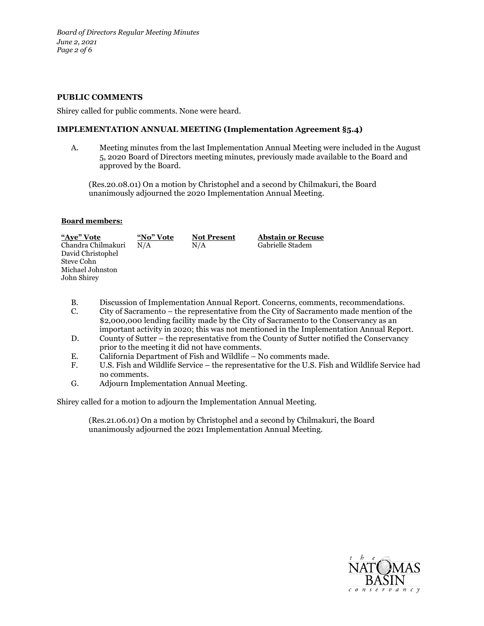*Board of Directors Regular Meeting Minutes June 2, 2021 Page 2 of 6* 

## **PUBLIC COMMENTS**

Shirey called for public comments. None were heard.

# **IMPLEMENTATION ANNUAL MEETING (Implementation Agreement §5.4)**

A. Meeting minutes from the last Implementation Annual Meeting were included in the August 5, 2020 Board of Directors meeting minutes, previously made available to the Board and approved by the Board.

 [\(Res.20.08.01](https://Res.20.08.01)) On a motion by Christophel and a second by Chilmakuri, the Board unanimously adjourned the 2020 Implementation Annual Meeting.

## **Board members:**

| "Ave" Vote                              | "No" Vote | <b>Not Present</b> | <b>Abstain or Recuse</b> |
|-----------------------------------------|-----------|--------------------|--------------------------|
| Chandra Chilmakuri<br>David Christophel | N/A       | N/A                | Gabrielle Stadem         |
| Steve Cohn                              |           |                    |                          |
| Michael Johnston                        |           |                    |                          |
| John Shirev                             |           |                    |                          |

- B. Discussion of Implementation Annual Report. Concerns, comments, recommendations.
- \$2,000,000 lending facility made by the City of Sacramento to the Conservancy as an important activity in 2020; this was not mentioned in the Implementation Annual Report. C. City of Sacramento – the representative from the City of Sacramento made mention of the
- D. County of Sutter the representative from the County of Sutter notified the Conservancy prior to the meeting it did not have comments.
- E. California Department of Fish and Wildlife No comments made.
- F. U.S. Fish and Wildlife Service the representative for the U.S. Fish and Wildlife Service had no comments.
- G. Adjourn Implementation Annual Meeting.

Shirey called for a motion to adjourn the Implementation Annual Meeting.

[\(Res.21.06.01](https://Res.21.06.01)) On a motion by Christophel and a second by Chilmakuri, the Board unanimously adjourned the 2021 Implementation Annual Meeting.

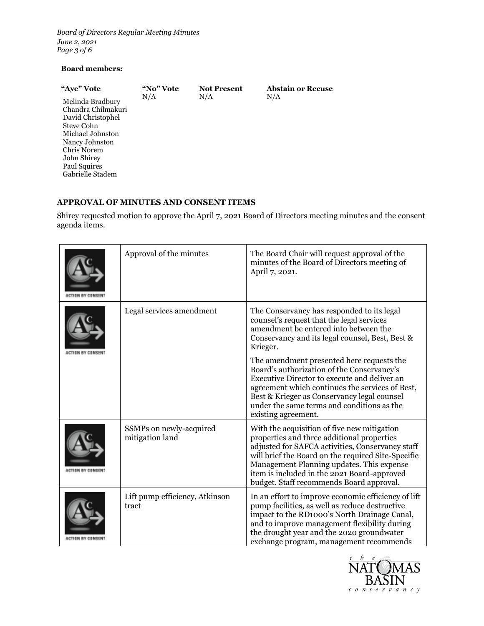*Board of Directors Regular Meeting Minutes June 2, 2021 Page 3 of 6* 

# **Board members:**

| "Ave" Vote                                                                                                                                                    | "No" Vote | <b>Not Present</b> | <b>Abstain or Recuse</b> |
|---------------------------------------------------------------------------------------------------------------------------------------------------------------|-----------|--------------------|--------------------------|
| Melinda Bradbury<br>Chandra Chilmakuri<br>David Christophel<br>Steve Cohn<br>Michael Johnston<br>Nancy Johnston<br>Chris Norem<br>John Shirey<br>Paul Squires | N/A       | N/A                | N/A                      |
| Gabrielle Stadem                                                                                                                                              |           |                    |                          |

# **APPROVAL OF MINUTES AND CONSENT ITEMS**

 Shirey requested motion to approve the April 7, 2021 Board of Directors meeting minutes and the consent agenda items.

|            | Approval of the minutes                    | The Board Chair will request approval of the<br>minutes of the Board of Directors meeting of<br>April 7, 2021.                                                                                                                                                                                                                              |
|------------|--------------------------------------------|---------------------------------------------------------------------------------------------------------------------------------------------------------------------------------------------------------------------------------------------------------------------------------------------------------------------------------------------|
|            | Legal services amendment                   | The Conservancy has responded to its legal<br>counsel's request that the legal services<br>amendment be entered into between the<br>Conservancy and its legal counsel, Best, Best &<br>Krieger.                                                                                                                                             |
|            |                                            | The amendment presented here requests the<br>Board's authorization of the Conservancy's<br>Executive Director to execute and deliver an<br>agreement which continues the services of Best,<br>Best & Krieger as Conservancy legal counsel<br>under the same terms and conditions as the<br>existing agreement.                              |
| I BY COMSH | SSMPs on newly-acquired<br>mitigation land | With the acquisition of five new mitigation<br>properties and three additional properties<br>adjusted for SAFCA activities, Conservancy staff<br>will brief the Board on the required Site-Specific<br>Management Planning updates. This expense<br>item is included in the 2021 Board-approved<br>budget. Staff recommends Board approval. |
|            | Lift pump efficiency, Atkinson<br>tract    | In an effort to improve economic efficiency of lift<br>pump facilities, as well as reduce destructive<br>impact to the RD1000's North Drainage Canal,<br>and to improve management flexibility during<br>the drought year and the 2020 groundwater<br>exchange program, management recommends                                               |

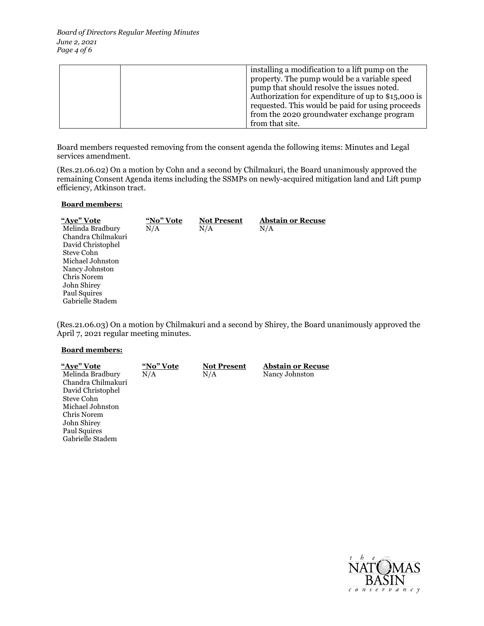| installing a modification to a lift pump on the    |
|----------------------------------------------------|
| property. The pump would be a variable speed       |
| pump that should resolve the issues noted.         |
| Authorization for expenditure of up to \$15,000 is |
| requested. This would be paid for using proceeds   |
| from the 2020 groundwater exchange program         |
| from that site.                                    |

Board members requested removing from the consent agenda the following items: Minutes and Legal services amendment.

([Res.21.06.02](https://Res.21.06.02)) On a motion by Cohn and a second by Chilmakuri, the Board unanimously approved the remaining Consent Agenda items including the SSMPs on newly-acquired mitigation land and Lift pump efficiency, Atkinson tract.

# **Board members:**

| "Aye" Vote         | "No" Vote | <b>Not Present</b> | <b>Abstain or Recuse</b> |
|--------------------|-----------|--------------------|--------------------------|
| Melinda Bradbury   | N/A       | N/A                | N/A                      |
| Chandra Chilmakuri |           |                    |                          |
| David Christophel  |           |                    |                          |
| Steve Cohn         |           |                    |                          |
| Michael Johnston   |           |                    |                          |
| Nancy Johnston     |           |                    |                          |
| Chris Norem        |           |                    |                          |
| John Shirey        |           |                    |                          |
| Paul Squires       |           |                    |                          |
| Gabrielle Stadem   |           |                    |                          |

([Res.21.06.03](https://Res.21.06.03)) On a motion by Chilmakuri and a second by Shirey, the Board unanimously approved the April 7, 2021 regular meeting minutes.

#### **Board members:**

| "Aye" Vote         | "No" Vote | <b>Not Present</b> | <b>Abstain or Recuse</b> |
|--------------------|-----------|--------------------|--------------------------|
| Melinda Bradbury   | N/A       | N/A                | Nancy Johnston           |
| Chandra Chilmakuri |           |                    |                          |
| David Christophel  |           |                    |                          |
| Steve Cohn         |           |                    |                          |
| Michael Johnston   |           |                    |                          |
| Chris Norem        |           |                    |                          |
| John Shirey        |           |                    |                          |
| Paul Squires       |           |                    |                          |
| Gabrielle Stadem   |           |                    |                          |

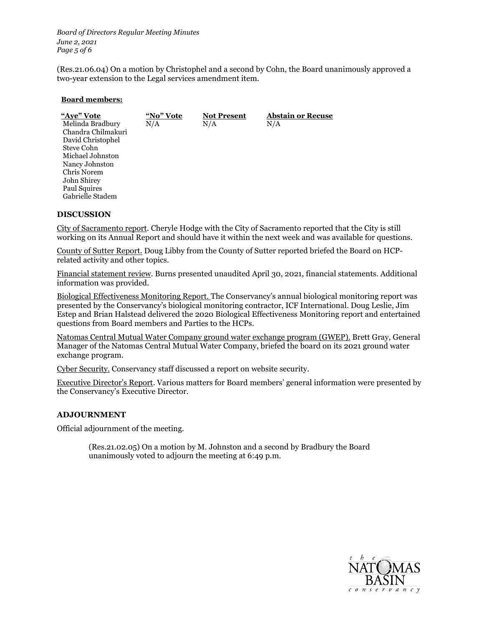*Board of Directors Regular Meeting Minutes June 2, 2021 Page 5 of 6* 

 two-year extension to the Legal services amendment item. ([Res.21.06.04](https://Res.21.06.04)) On a motion by Christophel and a second by Cohn, the Board unanimously approved a

### **Board members:**

| "Aye" Vote         | "No" Vote | <b>Not Present</b> | <b>Abstain or Recuse</b> |
|--------------------|-----------|--------------------|--------------------------|
| Melinda Bradbury   | N/A       | N/A                | N/A                      |
| Chandra Chilmakuri |           |                    |                          |
| David Christophel  |           |                    |                          |
| Steve Cohn         |           |                    |                          |
| Michael Johnston   |           |                    |                          |
| Nancy Johnston     |           |                    |                          |
| Chris Norem        |           |                    |                          |
| John Shirey        |           |                    |                          |
| Paul Squires       |           |                    |                          |
| Gabrielle Stadem   |           |                    |                          |
|                    |           |                    |                          |

### **DISCUSSION**

 working on its Annual Report and should have it within the next week and was available for questions. City of Sacramento report. Cheryle Hodge with the City of Sacramento reported that the City is still

County of Sutter Report. Doug Libby from the County of Sutter reported briefed the Board on HCPrelated activity and other topics.

 information was provided. Financial statement review. Burns presented unaudited April 30, 2021, financial statements. Additional

Biological Effectiveness Monitoring Report. The Conservancy's annual biological monitoring report was presented by the Conservancy's biological monitoring contractor, ICF International. Doug Leslie, Jim Estep and Brian Halstead delivered the 2020 Biological Effectiveness Monitoring report and entertained questions from Board members and Parties to the HCPs.

 Natomas Central Mutual Water Company ground water exchange program (GWEP). Brett Gray, General Manager of the Natomas Central Mutual Water Company, briefed the board on its 2021 ground water exchange program.

Cyber Security. Conservancy staff discussed a report on website security.

 Executive Director's Report. Various matters for Board members' general information were presented by the Conservancy's Executive Director.

# **ADJOURNMENT**

Official adjournment of the meeting.

 unanimously voted to adjourn the meeting at 6:49 p.m. [\(Res.21.02.05](https://Res.21.02.05)) On a motion by M. Johnston and a second by Bradbury the Board